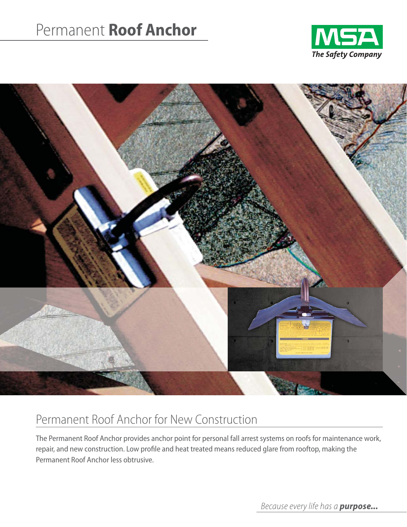## Permanent **Roof Anchor**





## Permanent Roof Anchor for New Construction

The Permanent Roof Anchor provides anchor point for personal fall arrest systems on roofs for maintenance work, repair, and new construction. Low profile and heat treated means reduced glare from rooftop, making the Permanent Roof Anchor less obtrusive.

*Because every life has a purpose...*